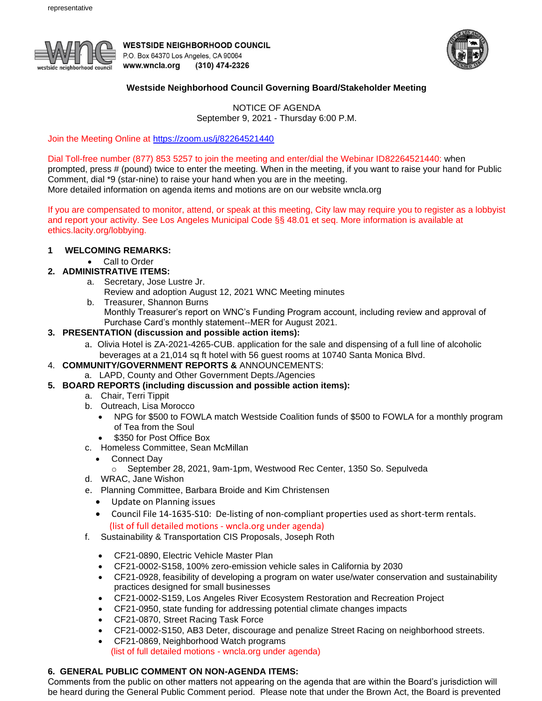

**WESTSIDE NEIGHBORHOOD COUNCIL** P.O. Box 64370 Los Angeles, CA 90064 www.wncla.org (310) 474-2326



### **Westside Neighborhood Council Governing Board/Stakeholder Meeting**

NOTICE OF AGENDA September 9, 2021 - Thursday 6:00 P.M.

Join the Meeting Online at <https://zoom.us/j/82264521440>

#### Dial Toll-free number (877) 853 5257 to join the meeting and enter/dial the Webinar ID82264521440: when

prompted, press # (pound) twice to enter the meeting. When in the meeting, if you want to raise your hand for Public Comment, dial \*9 (star-nine) to raise your hand when you are in the meeting.

More detailed information on agenda items and motions are on our website wncla.org

If you are compensated to monitor, attend, or speak at this meeting, City law may require you to register as a lobbyist and report your activity. See Los Angeles Municipal Code §§ 48.01 et seq. More information is available at ethics.lacity.org/lobbying.

## **1 WELCOMING REMARKS:**

• Call to Order

### **2. ADMINISTRATIVE ITEMS:**

- a. Secretary, Jose Lustre Jr.
	- Review and adoption August 12, 2021 WNC Meeting minutes
- b. Treasurer, Shannon Burns
	- Monthly Treasurer's report on WNC's Funding Program account, including review and approval of Purchase Card's monthly statement--MER for August 2021.

# **3. PRESENTATION (discussion and possible action items):**

- a. Olivia Hotel is ZA-2021-4265-CUB. application for the sale and dispensing of a full line of alcoholic beverages at a 21,014 sq ft hotel with 56 guest rooms at 10740 Santa Monica Blvd.
- 4. **COMMUNITY/GOVERNMENT REPORTS &** ANNOUNCEMENTS:
	- a. LAPD, County and Other Government Depts./Agencies
- **5. BOARD REPORTS (including discussion and possible action items):** 
	- a. Chair, Terri Tippit
	- b. Outreach, Lisa Morocco
		- NPG for \$500 to FOWLA match Westside Coalition funds of \$500 to FOWLA for a monthly program of Tea from the Soul
			- \$350 for Post Office Box
	- c. Homeless Committee, Sean McMillan
		- Connect Day
			- o September 28, 2021, 9am-1pm, Westwood Rec Center, 1350 So. Sepulveda
	- d. WRAC, Jane Wishon
	- e. Planning Committee, Barbara Broide and Kim Christensen
		- Update on Planning issues
		- Council File 14-1635-S10: De-listing of non-compliant properties used as short-term rentals. (list of full detailed motions - wncla.org under agenda)
	- f. Sustainability & Transportation CIS Proposals, Joseph Roth
		- CF21-0890, Electric Vehicle Master Plan
		- CF21-0002-S158, 100% zero-emission vehicle sales in California by 2030
		- CF21-0928, feasibility of developing a program on water use/water conservation and sustainability practices designed for small businesses
		- CF21-0002-S159, Los Angeles River Ecosystem Restoration and Recreation Project
		- CF21-0950, state funding for addressing potential climate changes impacts
		- CF21-0870, Street Racing Task Force
		- CF21-0002-S150, AB3 Deter, discourage and penalize Street Racing on neighborhood streets.
		- CF21-0869, Neighborhood Watch programs (list of full detailed motions - wncla.org under agenda)

# **6. GENERAL PUBLIC COMMENT ON NON-AGENDA ITEMS:**

Comments from the public on other matters not appearing on the agenda that are within the Board's jurisdiction will be heard during the General Public Comment period. Please note that under the Brown Act, the Board is prevented